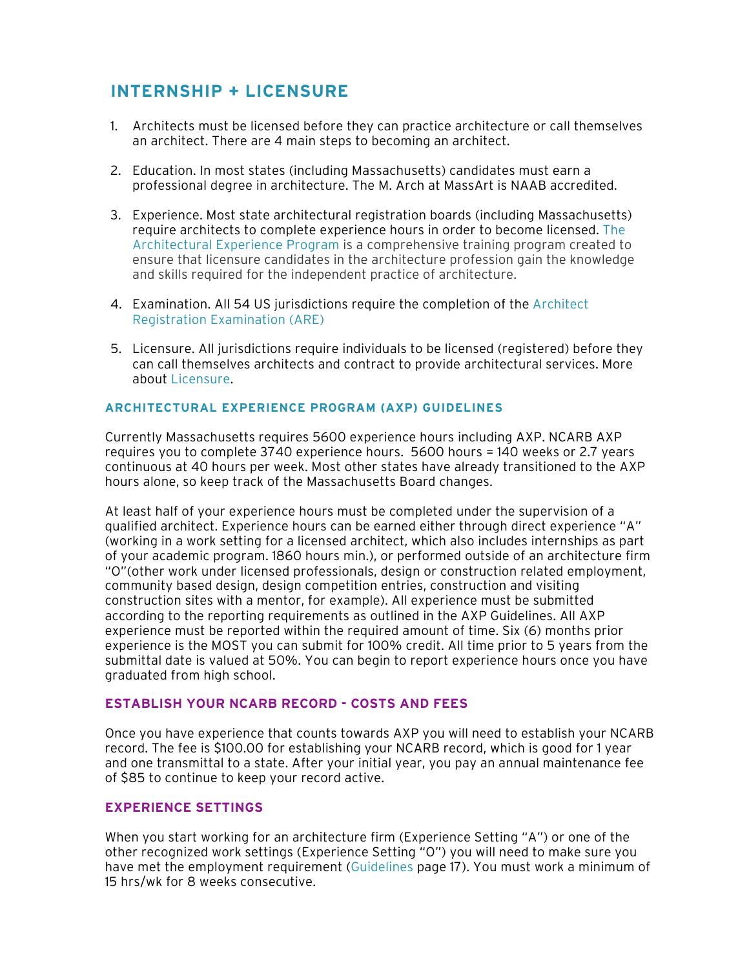# **INTERNSHIP + LICENSURE**

- 1. Architects must be licensed before they can practice architecture or call themselves an architect. There are 4 main steps to becoming an architect.
- 2. Education. In most states (including Massachusetts) candidates must earn a professional degree in architecture. The M. Arch at MassArt is NAAB accredited.
- 3. Experience. Most state architectural registration boards (including Massachusetts) require architects to complete experience hours in order to become licensed. [The](https://www.ncarb.org/gain-axp-experience)  [Architectural Experience Program](https://www.ncarb.org/gain-axp-experience) is a comprehensive training program created to ensure that licensure candidates in the architecture profession gain the knowledge and skills required for the independent practice of architecture.
- 4. Examination. All 54 US jurisdictions require the completion of the [Architect](https://www.ncarb.org/pass-the-are)  [Registration Examination \(ARE\)](https://www.ncarb.org/pass-the-are)
- 5. Licensure. All jurisdictions require individuals to be licensed (registered) before they can call themselves architects and contract to provide architectural services. More about [Licensure](https://www.ncarb.org/get-licensed).

## **[ARCHITECTURAL EXPERIENCE PROGRAM \(AXP\) GUIDELINES](https://www.ncarb.org/sites/default/files/AXP-Guidelines.pdf)**

Currently Massachusetts requires 5600 experience hours including AXP. NCARB AXP requires you to complete 3740 experience hours. 5600 hours = 140 weeks or 2.7 years continuous at 40 hours per week. Most other states have already transitioned to the AXP hours alone, so keep track of the [Massachusetts Board](http://www.ncarb.org/Experience-Through-Internships/IDP2-Experience-Categories-Areas/Experience-Requirement-by-State.aspx) changes.

At least half of your experience hours must be completed under the supervision of a qualified architect. Experience hours can be earned either through direct experience "A" (working in a work setting for a licensed architect, which also includes internships as part of your academic program. 1860 hours min.), or performed outside of an architecture firm "O"(other work under licensed professionals, design or construction related employment, community based design, design competition entries, construction and visiting construction sites with a mentor, for example). All experience must be submitted according to the reporting requirements as outlined in the AXP Guidelines. All AXP experience must be reported within the required amount of time. Six (6) months prior experience is the MOST you can submit for 100% credit. All time prior to 5 years from the submittal date is valued at 50%. You can begin to report experience hours once you have graduated from high school.

## **ESTABLISH YOUR NCARB RECORD - COSTS AND FEES**

Once you have experience that counts towards AXP you will need to establish your NCARB record. The fee is \$100.00 for establishing your NCARB record, which is good for 1 year and one transmittal to a state. After your initial year, you pay an annual maintenance fee of \$85 to continue to keep your record active.

# **EXPERIENCE SETTINGS**

When you start working for an architecture firm (Experience Setting "A") or one of the other recognized work settings (Experience Setting "O") you will need to make sure you have met the employment requirement ([Guidelines](https://www.ncarb.org/sites/default/files/AXP-Guidelines.pdf) page 17). You must work a minimum of 15 hrs/wk for 8 weeks consecutive.